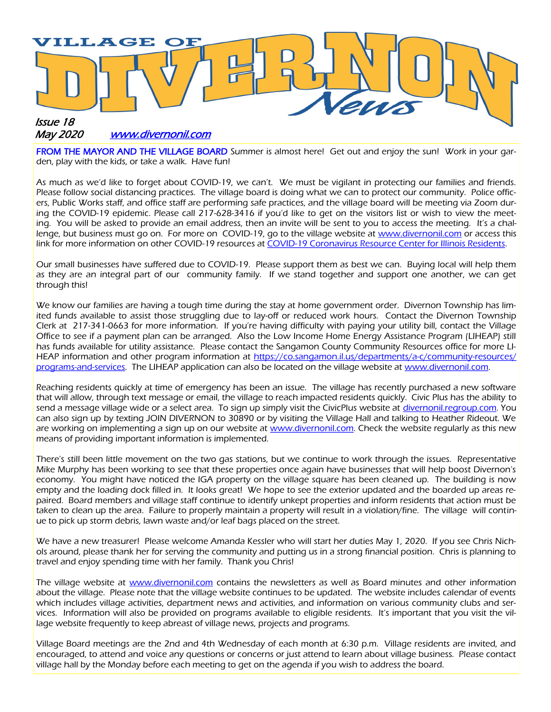

#### May 2020 [www.divernonil.com](http://www.divernonil.com)

FROM THE MAYOR AND THE VILLAGE BOARD Summer is almost here! Get out and enjoy the sun! Work in your garden, play with the kids, or take a walk. Have fun!

As much as we'd like to forget about COVID-19, we can't. We must be vigilant in protecting our families and friends. Please follow social distancing practices. The village board is doing what we can to protect our community. Police officers, Public Works staff, and office staff are performing safe practices, and the village board will be meeting via Zoom during the COVID-19 epidemic. Please call 217-628-3416 if you'd like to get on the visitors list or wish to view the meeting. You will be asked to provide an email address, then an invite will be sent to you to access the meeting. It's a challenge, but business must go on. For more on COVID-19, go to the village website at [www.divernonil.com](http://www.divernonil.com) or access this link for more information on other COVID-19 resources at [COVID-19 Coronavirus Resource Center for Illinois Residents.](https://dceocovid19resources.com/)

Our small businesses have suffered due to COVID-19. Please support them as best we can. Buying local will help them as they are an integral part of our community family. If we stand together and support one another, we can get through this!

We know our families are having a tough time during the stay at home government order. Divernon Township has limited funds available to assist those struggling due to lay-off or reduced work hours. Contact the Divernon Township Clerk at 217-341-0663 for more information. If you're having difficulty with paying your utility bill, contact the Village Office to see if a payment plan can be arranged. Also the Low Income Home Energy Assistance Program (LIHEAP) still has funds available for utility assistance. Please contact the Sangamon County Community Resources office for more LIHEAP information and other program information at [https://co.sangamon.il.us/departments/a-c/community-resources/](https://co.sangamon.il.us/departments/a-c/community-resources/programs-and-services) [programs-and-services.](https://co.sangamon.il.us/departments/a-c/community-resources/programs-and-services) The LIHEAP application can also be located on the village website at [www.divernonil.com.](http://www.divernonil.com)

Reaching residents quickly at time of emergency has been an issue. The village has recently purchased a new software that will allow, through text message or email, the village to reach impacted residents quickly. Civic Plus has the ability to send a message village wide or a select area. To sign up simply visit the CivicPlus website at *divernonil.regroup.com*. You can also sign up by texting JOIN DIVERNON to 30890 or by visiting the Village Hall and talking to Heather Rideout. We are working on implementing a sign up on our website at *www.divernonil.com*. Check the website regularly as this new means of providing important information is implemented.

There's still been little movement on the two gas stations, but we continue to work through the issues. Representative Mike Murphy has been working to see that these properties once again have businesses that will help boost Divernon's economy. You might have noticed the IGA property on the village square has been cleaned up. The building is now empty and the loading dock filled in. It looks great! We hope to see the exterior updated and the boarded up areas repaired. Board members and village staff continue to identify unkept properties and inform residents that action must be taken to clean up the area. Failure to properly maintain a property will result in a violation/fine. The village will continue to pick up storm debris, lawn waste and/or leaf bags placed on the street.

We have a new treasurer! Please welcome Amanda Kessler who will start her duties May 1, 2020. If you see Chris Nichols around, please thank her for serving the community and putting us in a strong financial position. Chris is planning to travel and enjoy spending time with her family. Thank you Chris!

The village website at [www.divernonil.com](http://www.divernonil.com) contains the newsletters as well as Board minutes and other information about the village. Please note that the village website continues to be updated. The website includes calendar of events which includes village activities, department news and activities, and information on various community clubs and services. Information will also be provided on programs available to eligible residents. It's important that you visit the village website frequently to keep abreast of village news, projects and programs.

Village Board meetings are the 2nd and 4th Wednesday of each month at 6:30 p.m. Village residents are invited, and encouraged, to attend and voice any questions or concerns or just attend to learn about village business. Please contact village hall by the Monday before each meeting to get on the agenda if you wish to address the board.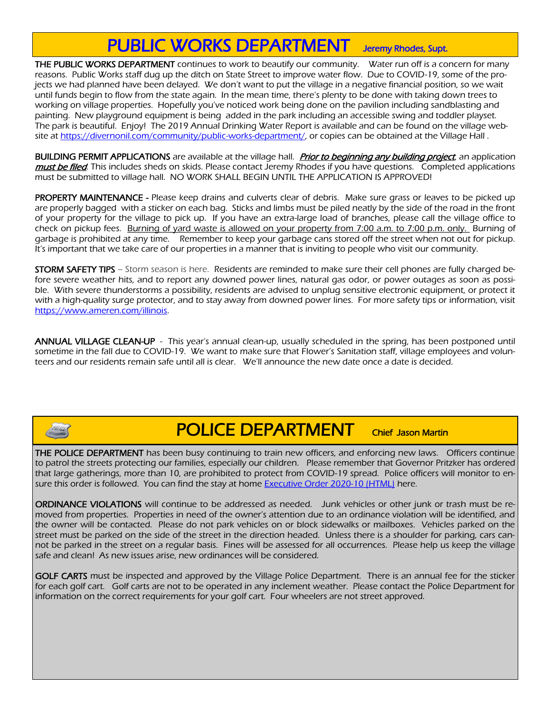## PUBLIC WORKS DEPARTMENT Jeremy Rhodes, Supt.

THE PUBLIC WORKS DEPARTMENT continues to work to beautify our community. Water run off is a concern for many reasons. Public Works staff dug up the ditch on State Street to improve water flow. Due to COVID-19, some of the projects we had planned have been delayed. We don't want to put the village in a negative financial position, so we wait until funds begin to flow from the state again. In the mean time, there's plenty to be done with taking down trees to working on village properties. Hopefully you've noticed work being done on the pavilion including sandblasting and painting. New playground equipment is being added in the park including an accessible swing and toddler playset. The park is beautiful. Enjoy! The 2019 Annual Drinking Water Report is available and can be found on the village website at [https://divernonil.com/community/public-works-department/,](https://divernonil.com/community/public-works-department/) or copies can be obtained at the Village Hall

BUILDING PERMIT APPLICATIONS are available at the village hall. Prior to beginning any building project, an application must be filed. This includes sheds on skids. Please contact Jeremy Rhodes if you have questions. Completed applications must be submitted to village hall. NO WORK SHALL BEGIN UNTIL THE APPLICATION IS APPROVED!

PROPERTY MAINTENANCE - Please keep drains and culverts clear of debris. Make sure grass or leaves to be picked up are properly bagged with a sticker on each bag. Sticks and limbs must be piled neatly by the side of the road in the front of your property for the village to pick up. If you have an extra-large load of branches, please call the village office to check on pickup fees. Burning of vard waste is allowed on your property from 7:00 a.m. to 7:00 p.m. only. Burning of garbage is prohibited at any time. Remember to keep your garbage cans stored off the street when not out for pickup. It's important that we take care of our properties in a manner that is inviting to people who visit our community.

STORM SAFETY TIPS – Storm season is here. Residents are reminded to make sure their cell phones are fully charged before severe weather hits, and to report any downed power lines, natural gas odor, or power outages as soon as possible. With severe thunderstorms a possibility, residents are advised to unplug sensitive electronic equipment, or protect it with a high-quality surge protector, and to stay away from downed power lines. For more safety tips or information, visit [https://www.ameren.com/illinois.](https://www.ameren.com/illinois)

ANNUAL VILLAGE CLEAN-UP - This year's annual clean-up, usually scheduled in the spring, has been postponed until sometime in the fall due to COVID-19. We want to make sure that Flower's Sanitation staff, village employees and volunteers and our residents remain safe until all is clear. We'll announce the new date once a date is decided.

### **POLICE DEPARTMENT** Chief Jason Martin

**THE POLICE DEPARTMENT** has been busy continuing to train new officers, and enforcing new laws. Officers continue to patrol the streets protecting our families, especially our children. Please remember that Governor Pritzker has ordered that large gatherings, more than 10, are prohibited to protect from COVID-19 spread. Police officers will monitor to en-sure this order is followed. You can find the stay at home [Executive Order 2020-10 \(HTML\)](https://www2.illinois.gov/Pages/Executive-Orders/ExecutiveOrder2020-10.aspx) here.

ORDINANCE VIOLATIONS will continue to be addressed as needed. Junk vehicles or other junk or trash must be removed from properties. Properties in need of the owner's attention due to an ordinance violation will be identified, and the owner will be contacted. Please do not park vehicles on or block sidewalks or mailboxes. Vehicles parked on the street must be parked on the side of the street in the direction headed. Unless there is a shoulder for parking, cars cannot be parked in the street on a regular basis. Fines will be assessed for all occurrences. Please help us keep the village safe and clean! As new issues arise, new ordinances will be considered.

GOLF CARTS must be inspected and approved by the Village Police Department. There is an annual fee for the sticker for each golf cart. Golf carts are not to be operated in any inclement weather. Please contact the Police Department for information on the correct requirements for your golf cart. Four wheelers are not street approved.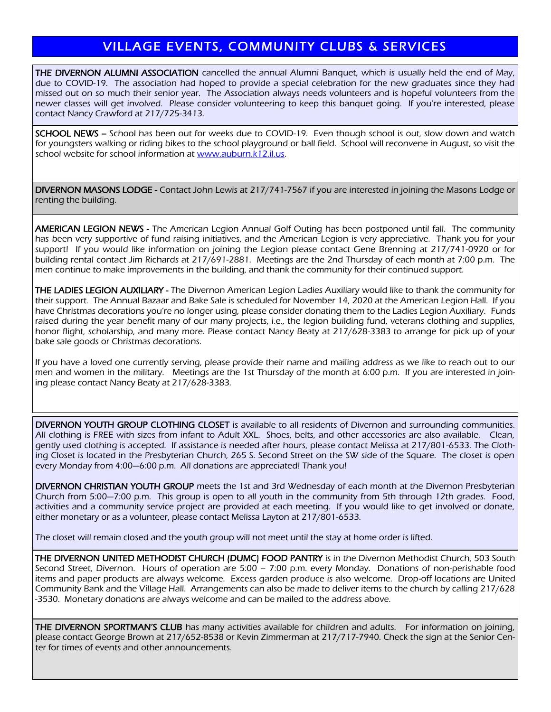#### VILLAGE EVENTS, COMMUNITY CLUBS & SERVICES

THE DIVERNON ALUMNI ASSOCIATION cancelled the annual Alumni Banquet, which is usually held the end of May, due to COVID-19. The association had hoped to provide a special celebration for the new graduates since they had missed out on so much their senior year. The Association always needs volunteers and is hopeful volunteers from the newer classes will get involved. Please consider volunteering to keep this banquet going. If you're interested, please contact Nancy Crawford at 217/725-3413.

SCHOOL NEWS – School has been out for weeks due to COVID-19. Even though school is out, slow down and watch for youngsters walking or riding bikes to the school playground or ball field. School will reconvene in August, so visit the school website for school information at www.auburn.k12.il.us.

DIVERNON MASONS LODGE - Contact John Lewis at 217/741-7567 if you are interested in joining the Masons Lodge or renting the building.

AMERICAN LEGION NEWS - The American Legion Annual Golf Outing has been postponed until fall. The community has been very supportive of fund raising initiatives, and the American Legion is very appreciative. Thank you for your support! If you would like information on joining the Legion please contact Gene Brenning at 217/741-0920 or for building rental contact Jim Richards at 217/691-2881. Meetings are the 2nd Thursday of each month at 7:00 p.m. The men continue to make improvements in the building, and thank the community for their continued support.

THE LADIES LEGION AUXILIARY - The Divernon American Legion Ladies Auxiliary would like to thank the community for their support. The Annual Bazaar and Bake Sale is scheduled for November 14, 2020 at the American Legion Hall. If you have Christmas decorations you're no longer using, please consider donating them to the Ladies Legion Auxiliary. Funds raised during the year benefit many of our many projects, i.e., the legion building fund, veterans clothing and supplies, honor flight, scholarship, and many more. Please contact Nancy Beaty at 217/628-3383 to arrange for pick up of your bake sale goods or Christmas decorations.

If you have a loved one currently serving, please provide their name and mailing address as we like to reach out to our men and women in the military. Meetings are the 1st Thursday of the month at 6:00 p.m. If you are interested in joining please contact Nancy Beaty at 217/628-3383.

DIVERNON YOUTH GROUP CLOTHING CLOSET is available to all residents of Divernon and surrounding communities. All clothing is FREE with sizes from infant to Adult XXL. Shoes, belts, and other accessories are also available. Clean, gently used clothing is accepted. If assistance is needed after hours, please contact Melissa at 217/801-6533. The Clothing Closet is located in the Presbyterian Church, 265 S. Second Street on the SW side of the Square. The closet is open every Monday from 4:00—6:00 p.m. All donations are appreciated! Thank you!

DIVERNON CHRISTIAN YOUTH GROUP meets the 1st and 3rd Wednesday of each month at the Divernon Presbyterian Church from 5:00—7:00 p.m. This group is open to all youth in the community from 5th through 12th grades. Food, activities and a community service project are provided at each meeting. If you would like to get involved or donate, either monetary or as a volunteer, please contact Melissa Layton at 217/801-6533.

The closet will remain closed and the youth group will not meet until the stay at home order is lifted.

THE DIVERNON UNITED METHODIST CHURCH (DUMC) FOOD PANTRY is in the Divernon Methodist Church, 503 South Second Street, Divernon. Hours of operation are 5:00 – 7:00 p.m. every Monday. Donations of non-perishable food items and paper products are always welcome. Excess garden produce is also welcome. Drop-off locations are United Community Bank and the Village Hall. Arrangements can also be made to deliver items to the church by calling 217/628 -3530. Monetary donations are always welcome and can be mailed to the address above.

THE DIVERNON SPORTMAN'S CLUB has many activities available for children and adults. For information on joining, please contact George Brown at 217/652-8538 or Kevin Zimmerman at 217/717-7940. Check the sign at the Senior Center for times of events and other announcements.